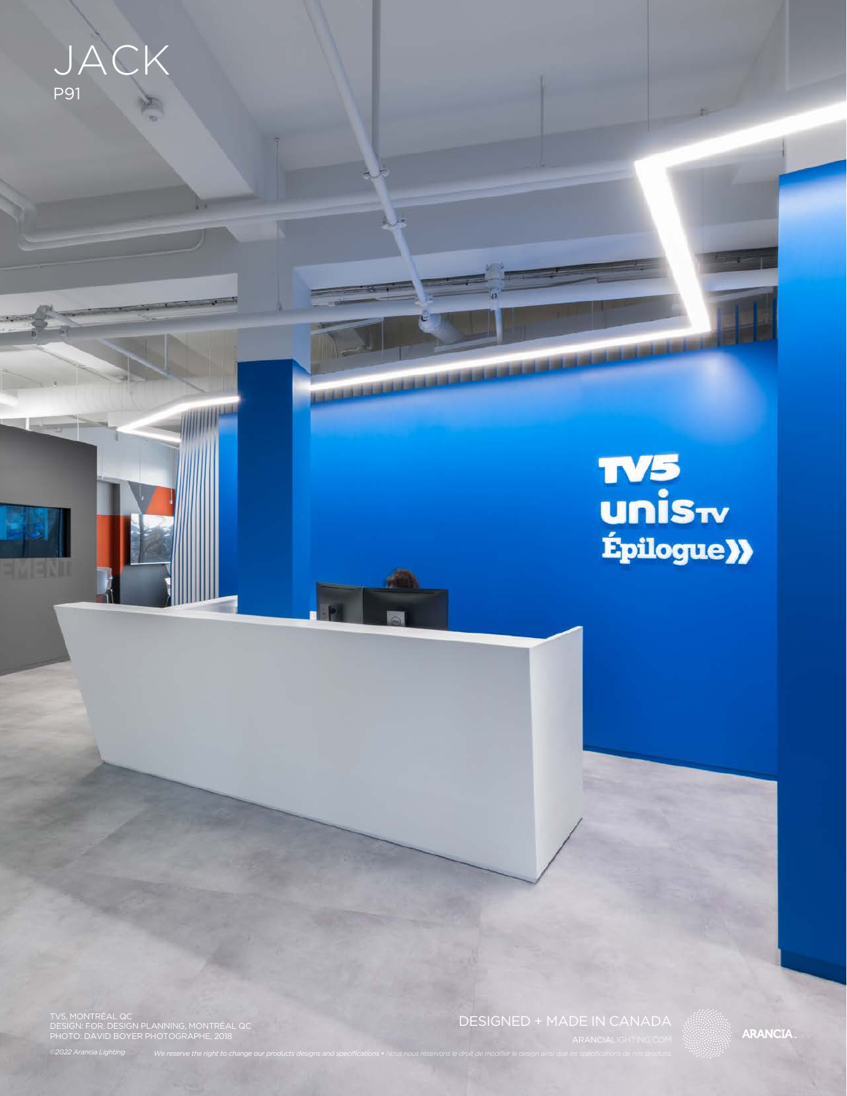JACK P<sub>91</sub>

J

**TELEVISION** 

# **TV5<br>unis**<sub>ty</sub><br>fpilogue**)**

TV5, MONTRÉAL QC DESIGN: FOR. DESIGN PLANNING, MONTRÉAL QC PHOTO: DAVID BOYER PHOTOGRAPHE, 2018

DESIGNED + MADE IN CANADA

**ARANCIA**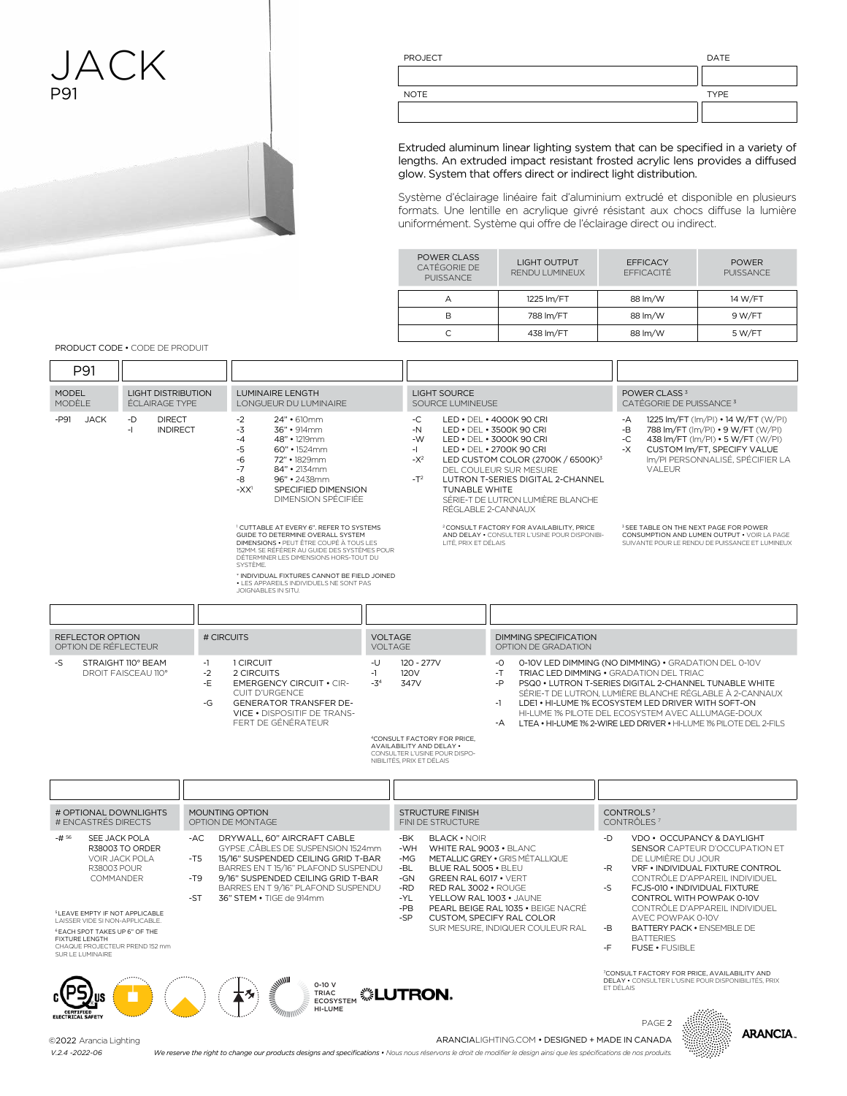## JACK P91



PROJECT DATE

| <b>NOTE</b> | <b>TYPE</b> |
|-------------|-------------|
|             |             |

Extruded aluminum linear lighting system that can be specified in a variety of lengths. An extruded impact resistant frosted acrylic lens provides a diffused glow. System that offers direct or indirect light distribution.

Système d'éclairage linéaire fait d'aluminium extrudé et disponible en plusieurs formats. Une lentille en acrylique givré résistant aux chocs diffuse la lumière uniformément. Système qui offre de l'éclairage direct ou indirect.

| POWER CLASS<br>CATÉGORIE DE<br><b>PUISSANCE</b> | <b>LIGHT OUTPUT</b><br><b>RENDU LUMINEUX</b> | <b>EFFICACY</b><br><b>FFFICACITÉ</b> | <b>POWER</b><br>PUISSANCE |
|-------------------------------------------------|----------------------------------------------|--------------------------------------|---------------------------|
| A                                               | 1225 Im/FT                                   | 88 lm/W                              | 14 W/FT                   |
| в                                               | 788 lm/FT                                    | 88 lm/W                              | 9 W/FT                    |
|                                                 | 438 Im/FT                                    | 88 lm/W                              | 5 W/FT                    |

PRODUCT CODE • CODE DE PRODUIT

| P91                                                                                                                                                                                                                                               |                                                    |                              |                                                                                                                                                                                                                                                                                                                                     |                                  |                                                                   |                                                                                                                                                                                                                          |                                    |                                                                                                                                                                                                                                                                                                                                                                                                         |                                  |                                                                                                                                                                                                                                                                                                                                                                 |                                                                                                       |                                                                         |
|---------------------------------------------------------------------------------------------------------------------------------------------------------------------------------------------------------------------------------------------------|----------------------------------------------------|------------------------------|-------------------------------------------------------------------------------------------------------------------------------------------------------------------------------------------------------------------------------------------------------------------------------------------------------------------------------------|----------------------------------|-------------------------------------------------------------------|--------------------------------------------------------------------------------------------------------------------------------------------------------------------------------------------------------------------------|------------------------------------|---------------------------------------------------------------------------------------------------------------------------------------------------------------------------------------------------------------------------------------------------------------------------------------------------------------------------------------------------------------------------------------------------------|----------------------------------|-----------------------------------------------------------------------------------------------------------------------------------------------------------------------------------------------------------------------------------------------------------------------------------------------------------------------------------------------------------------|-------------------------------------------------------------------------------------------------------|-------------------------------------------------------------------------|
| <b>MODEL</b><br>MODÈLE                                                                                                                                                                                                                            | <b>LIGHT DISTRIBUTION</b><br><b>ÉCLAIRAGE TYPE</b> |                              | LUMINAIRE LENGTH<br>LONGUEUR DU LUMINAIRE                                                                                                                                                                                                                                                                                           |                                  |                                                                   | <b>LIGHT SOURCE</b><br>SOURCE LUMINEUSE                                                                                                                                                                                  |                                    |                                                                                                                                                                                                                                                                                                                                                                                                         |                                  | POWER CLASS <sup>3</sup><br>CATÉGORIE DE PUISSANCE <sup>3</sup>                                                                                                                                                                                                                                                                                                 |                                                                                                       |                                                                         |
| $-$ P91<br><b>JACK</b>                                                                                                                                                                                                                            | -D<br><b>DIRECT</b><br>-1<br><b>INDIRECT</b>       |                              | $-2$<br>24" • 610mm<br>$-3$<br>36" • 914mm<br>$-4$<br>48" • 1219mm<br>$-5$<br>60" • 1524mm<br>-6<br>72" • 1829mm<br>$-7$<br>84" · 2134mm<br>-8<br>96" • 2438mm<br>SPECIFIED DIMENSION<br>$-XX1$<br><b>DIMENSION SPÉCIFIÉE</b>                                                                                                       |                                  | -C<br>$-N$<br>$-W$<br>-1<br>$-X^2$<br>$-T^2$                      | LED . DEL . 4000K 90 CRI<br>LED . DEL . 3500K 90 CRI<br>LED • DEL • 3000K 90 CRI<br>LED • DEL • 2700K 90 CRI<br>DEL COULEUR SUR MESURE<br>TUNABLE WHITE<br>RÉGLABLE 2-CANNAUX                                            |                                    | LED CUSTOM COLOR (2700K / 6500K) <sup>3</sup><br>LUTRON T-SERIES DIGITAL 2-CHANNEL<br>SÉRIE-T DE LUTRON LUMIÈRE BLANCHE                                                                                                                                                                                                                                                                                 | $-B$                             | $-A$<br>$\text{-}\mathbb{C}$<br>-Х<br>VALEUR                                                                                                                                                                                                                                                                                                                    | 788 Im/FT (Im/PI) • 9 W/FT (W/PI)<br>438 Im/FT (Im/PI) • 5 W/FT (W/PI)<br>CUSTOM Im/FT, SPECIFY VALUE | 1225 Im/FT (Im/PI) • 14 W/FT (W/PI)<br>Im/PI PERSONNALISÉ. SPÉCIFIER LA |
|                                                                                                                                                                                                                                                   |                                                    |                              | <sup>1</sup> CUTTABLE AT EVERY 6". REFER TO SYSTEMS<br>GUIDE TO DETERMINE OVERALL SYSTEM<br>DIMENSIONS . PEUT ÊTRE COUPÉ À TOUS LES<br>152MM, SE RÉFÉRER AU GUIDE DES SYSTÈMES POUR<br>DÉTERMINER LES DIMENSIONS HORS-TOUT DU<br>SYSTÈME<br>* INDIVIDUAL FIXTURES CANNOT BE FIELD JOINED<br>• LES APPAREILS INDIVIDUELS NE SONT PAS |                                  |                                                                   | LITÉ, PRIX ET DÉLAIS                                                                                                                                                                                                     |                                    | <sup>2</sup> CONSULT FACTORY FOR AVAILABILITY, PRICE<br>AND DELAY . CONSULTER L'USINE POUR DISPONIBI-                                                                                                                                                                                                                                                                                                   |                                  | <sup>3</sup> SEE TABLE ON THE NEXT PAGE FOR POWER<br>CONSUMPTION AND LUMEN OUTPUT . VOIR LA PAGE<br>SUIVANTE POUR LE RENDU DE PUISSANCE ET LUMINEUX                                                                                                                                                                                                             |                                                                                                       |                                                                         |
|                                                                                                                                                                                                                                                   |                                                    |                              | JOIGNABLES IN SITU.                                                                                                                                                                                                                                                                                                                 |                                  |                                                                   |                                                                                                                                                                                                                          |                                    |                                                                                                                                                                                                                                                                                                                                                                                                         |                                  |                                                                                                                                                                                                                                                                                                                                                                 |                                                                                                       |                                                                         |
|                                                                                                                                                                                                                                                   |                                                    |                              |                                                                                                                                                                                                                                                                                                                                     |                                  |                                                                   |                                                                                                                                                                                                                          |                                    |                                                                                                                                                                                                                                                                                                                                                                                                         |                                  |                                                                                                                                                                                                                                                                                                                                                                 |                                                                                                       |                                                                         |
| REFLECTOR OPTION<br>OPTION DE RÉFLECTEUR                                                                                                                                                                                                          |                                                    | # CIRCUITS                   |                                                                                                                                                                                                                                                                                                                                     | <b>VOLTAGE</b><br><b>VOLTAGE</b> |                                                                   |                                                                                                                                                                                                                          |                                    | <b>DIMMING SPECIFICATION</b><br>OPTION DE GRADATION                                                                                                                                                                                                                                                                                                                                                     |                                  |                                                                                                                                                                                                                                                                                                                                                                 |                                                                                                       |                                                                         |
| $-S$                                                                                                                                                                                                                                              | STRAIGHT 110° BEAM<br>DROIT FAISCEAU 110°          | -1<br>$-2$<br>-E<br>$-G$     | 1 CIRCUIT<br>2 CIRCUITS<br><b>EMERGENCY CIRCUIT • CIR-</b><br><b>CUIT D'URGENCE</b><br><b>GENERATOR TRANSFER DE-</b><br>VICE . DISPOSITIF DE TRANS-<br>FERT DE GÉNÉRATEUR                                                                                                                                                           | -U<br>$-1$<br>$-34$              | 120 - 277V<br>120V<br>347V<br>NIBILITÉS, PRIX ET DÉLAIS           | <sup>4</sup> CONSULT FACTORY FOR PRICE,<br>AVAILABILITY AND DELAY .<br>CONSULTER L'USINE POUR DISPO-                                                                                                                     | $-0$<br>$-T$<br>$-P$<br>$-1$<br>-A | 0-10V LED DIMMING (NO DIMMING) . GRADATION DEL 0-10V<br>TRIAC LED DIMMING . GRADATION DEL TRIAC<br>PSQ0 . LUTRON T-SERIES DIGITAL 2-CHANNEL TUNABLE WHITE<br>SÉRIE-T DE LUTRON. LUMIÈRE BLANCHE RÉGLABLE À 2-CANNAUX<br>LDE1 • HI-LUME 1% ECOSYSTEM LED DRIVER WITH SOFT-ON<br>HI-LUME 1% PILOTE DEL ECOSYSTEM AVEC ALLUMAGE-DOUX<br>LTEA . HI-LUME 1% 2-WIRE LED DRIVER . HI-LUME 1% PILOTE DEL 2-FILS |                                  |                                                                                                                                                                                                                                                                                                                                                                 |                                                                                                       |                                                                         |
|                                                                                                                                                                                                                                                   |                                                    |                              |                                                                                                                                                                                                                                                                                                                                     |                                  |                                                                   |                                                                                                                                                                                                                          |                                    |                                                                                                                                                                                                                                                                                                                                                                                                         |                                  |                                                                                                                                                                                                                                                                                                                                                                 |                                                                                                       |                                                                         |
| # OPTIONAL DOWNLIGHTS<br># ENCASTRÉS DIRECTS                                                                                                                                                                                                      |                                                    | MOUNTING OPTION              | OPTION DE MONTAGE                                                                                                                                                                                                                                                                                                                   |                                  |                                                                   | STRUCTURE FINISH<br>FINI DE STRUCTURE                                                                                                                                                                                    |                                    |                                                                                                                                                                                                                                                                                                                                                                                                         |                                  | CONTROLS <sup>7</sup><br>CONTRÔLES <sup>7</sup>                                                                                                                                                                                                                                                                                                                 |                                                                                                       |                                                                         |
| $-$ # 56<br><b>R38003 POUR</b><br>COMMANDER<br><sup>5</sup> LEAVE EMPTY IF NOT APPLICABLE<br>LAISSER VIDE SI NON-APPLICABLE.<br><sup>6</sup> EACH SPOT TAKES UP 6" OF THE<br>FIXTURE LENGTH<br>CHAQUE PROJECTEUR PREND 152 mm<br>SUR LET UMINAIRE | SEE JACK POLA<br>R38003 TO ORDER<br>VOIR JACK POLA | -AC<br>$-T5$<br>-T9<br>$-ST$ | DRYWALL, 60" AIRCRAFT CABLE<br>GYPSE, CÂBLES DE SUSPENSION 1524mm<br>15/16" SUSPENDED CEILING GRID T-BAR<br>BARRES EN T15/16" PLAFOND SUSPENDU<br>9/16" SUSPENDED CEILING GRID T-BAR<br>BARRES EN T 9/16" PLAFOND SUSPENDU<br>36" STEM . TIGE de 914mm                                                                              |                                  | -BK<br>-WH<br>$-MG$<br>-BL<br>-GN<br>-RD<br>$-YL$<br>$-PB$<br>-SP | <b>BLACK • NOIR</b><br>WHITE RAL 9003 . BLANC<br>METALLIC GREY . GRIS MÉTALLIQUE<br>BLUE RAL 5005 · BLEU<br><b>GREEN RAL 6017 • VERT</b><br>RED RAL 3002 · ROUGE<br>YELLOW RAL 1003 · JAUNE<br>CUSTOM, SPECIFY RAL COLOR |                                    | PEARL BEIGE RAL 1035 . BEIGE NACRÉ<br>SUR MESURE, INDIQUER COULEUR RAL                                                                                                                                                                                                                                                                                                                                  | -D<br>$-R$<br>$-S$<br>$-B$<br>-F | VDO . OCCUPANCY & DAYLIGHT<br>SENSOR CAPTEUR D'OCCUPATION ET<br>DE LUMIÈRE DU JOUR<br>VRF . INDIVIDUAL FIXTURE CONTROL<br>CONTRÖLE D'APPAREIL INDIVIDUEL<br>FCJS-010 • INDIVIDUAL FIXTURE<br>CONTROL WITH POWPAK 0-10V<br>CONTRÖLE D'APPAREIL INDIVIDUEL<br>AVEC POWPAK 0-10V<br><b>BATTERY PACK · ENSEMBLE DE</b><br><b>BATTERIES</b><br><b>FUSE • FUSIBLE</b> |                                                                                                       |                                                                         |
| CERTIFIED<br>ELECTRICAL SAFETY                                                                                                                                                                                                                    |                                                    |                              | <b>MANARITY OF STRAIGHT</b><br>$0-10V$<br><b>TRIAC</b><br><b>ECOSYSTEM</b><br>HI-LUME                                                                                                                                                                                                                                               | <b>. LUTRON</b>                  |                                                                   |                                                                                                                                                                                                                          |                                    |                                                                                                                                                                                                                                                                                                                                                                                                         | ET DÉLAIS                        | <sup>7</sup> CONSULT FACTORY FOR PRICE, AVAILABILITY AND<br>DELAY . CONSULTER L'USINE POUR DISPONIBILITÉS, PRIX<br>PAGE <sub>2</sub>                                                                                                                                                                                                                            |                                                                                                       |                                                                         |
| ©2022 Arancia Lighting<br>$V.2.4 - 2022 - 06$                                                                                                                                                                                                     |                                                    |                              | We reserve the right to change our products designs and specifications • Nous nous réservons le droit de modifier le design ainsi que les spécifications de nos produits.                                                                                                                                                           |                                  |                                                                   |                                                                                                                                                                                                                          |                                    | ARANCIALIGHTING.COM . DESIGNED + MADE IN CANADA                                                                                                                                                                                                                                                                                                                                                         |                                  |                                                                                                                                                                                                                                                                                                                                                                 |                                                                                                       | ARANCIA.                                                                |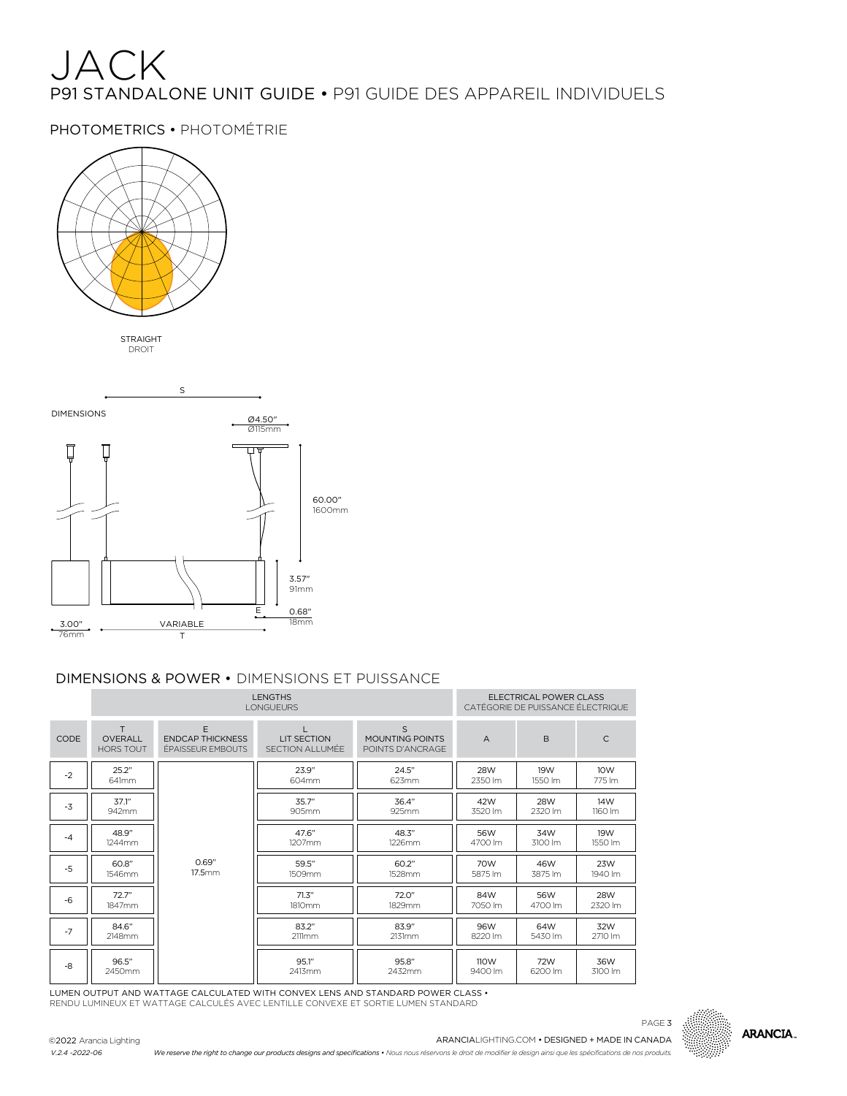## JACK P91 STANDALONE UNIT GUIDE • P91 GUIDE DES APPAREIL INDIVIDUELS

PHOTOMETRICS • PHOTOMÉTRIE



STRAIGHT DROIT



## DIMENSIONS & POWER • DIMENSIONS ET PUISSANCE

|      |                                         | <b>LENGTHS</b><br><b>LONGUEURS</b>                |                                        | FLECTRICAL POWER CLASS<br>CATÉGORIE DE PUISSANCE ÉLECTRIQUE |                       |                |                |
|------|-----------------------------------------|---------------------------------------------------|----------------------------------------|-------------------------------------------------------------|-----------------------|----------------|----------------|
| CODE | T<br><b>OVERALL</b><br><b>HORS TOUT</b> | F<br><b>ENDCAP THICKNESS</b><br>ÉPAISSEUR EMBOUTS | <b>I IT SECTION</b><br>SECTION ALLUMÉE | S<br>MOUNTING POINTS<br>POINTS D'ANCRAGE                    | $\overline{A}$        | <sub>B</sub>   | $\subset$      |
| $-2$ | 25.2"<br>641mm                          |                                                   | 23.9"<br>604mm                         | 24.5"<br>623mm                                              | <b>28W</b><br>2350 lm | 19W<br>1550 lm | 10W<br>775 lm  |
| $-3$ | 37.1"<br>942mm                          |                                                   | 35.7"<br>905mm                         | 36.4"<br>925mm                                              | 42W<br>3520 lm        | 28W<br>2320 lm | 14W<br>1160 lm |
| $-4$ | 48.9"<br>1244mm                         |                                                   | 47.6"<br>1207mm                        | 48.3"<br>1226mm                                             | 56W<br>4700 lm        | 34W<br>3100 lm | 19W<br>1550 lm |
| $-5$ | 60.8"<br>1546mm                         | 0.69"<br>17.5mm                                   | 59.5"<br>1509mm                        | 60.2"<br>1528mm                                             | 70W<br>5875 lm        | 46W<br>3875 lm | 23W<br>1940 lm |
| $-6$ | 72.7"<br>1847mm                         |                                                   | 71.3"<br>1810mm                        | 72.0"<br>1829mm                                             | 84W<br>7050 lm        | 56W<br>4700 lm | 28W<br>2320 lm |
| $-7$ | 84.6"<br>2148mm                         |                                                   | 83.2"<br>2111mm                        | 83.9"<br>2131mm                                             | 96W<br>8220 lm        | 64W<br>5430 lm | 32W<br>2710 lm |
| -8   | 96.5"<br>2450mm                         |                                                   | 95.1"<br>2413mm                        | 95.8"<br>2432mm                                             | 110W<br>9400 lm       | 72W<br>6200 lm | 36W<br>3100 lm |

LUMEN OUTPUT AND WATTAGE CALCULATED WITH CONVEX LENS AND STANDARD POWER CLASS • RENDU LUMINEUX ET WATTAGE CALCULÉS AVEC LENTILLE CONVEXE ET SORTIE LUMEN STANDARD







*We reserve the right to change our products designs and specifications • Nous nous réservons le droit de modifier le design ainsi que les spécifications de nos produits.*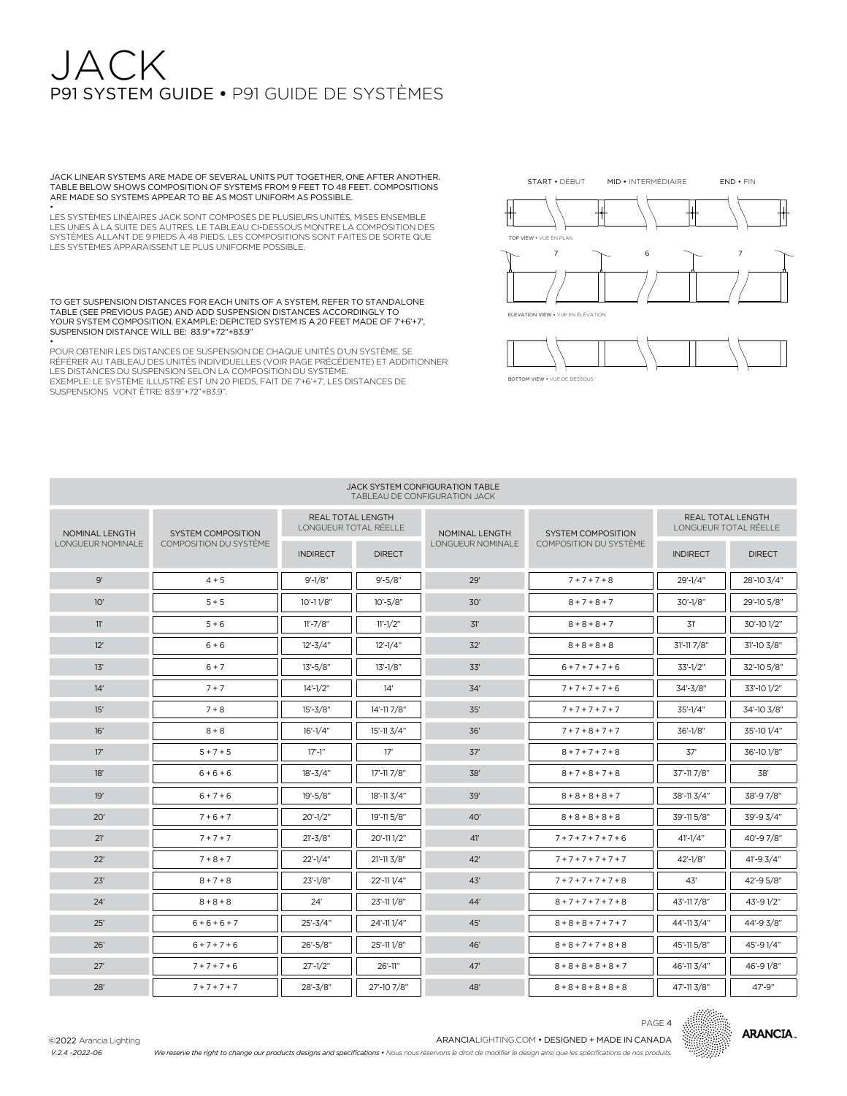## $J \triangle \cap K$ P91 SYSTEM GUIDE • P91 GUIDE DE SYSTÈMES

JACK LINEAR SYSTEMS ARE MADE OF SEVERAL UNITS PUT TOGETHER, ONE AFTER ANOTHER. TABLE BELOW SHOWS COMPOSITION OF SYSTEMS FROM 9 FEET TO 48 FEET. COMPOSITIONS ARE MADE SO SYSTEMS APPEAR TO BE AS MOST UNIFORM AS POSSIBLE.

• LES SYSTÈMES LINÉAIRES JACK SONT COMPOSÉS DE PLUSIEURS UNITÉS, MISES ENSEMBLE LES UNES À LA SUITE DES AUTRES. LE TABLEAU CI-DESSOUS MONTRE LA COMPOSITION DES SYSTÈMES ALLANT DE 9 PIEDS À 48 PIEDS. LES COMPOSITIONS SONT FAITES DE SORTE QUE LES SYSTÈMES APPARAISSENT LE PLUS UNIFORME POSSIBLE.

TO GET SUSPENSION DISTANCES FOR EACH UNITS OF A SYSTEM, REFER TO STANDALONE TABLE (SEE PREVIOUS PAGE) AND ADD SUSPENSION DISTANCES ACCORDINGLY TO YOUR SYSTEM COMPOSITION. EXAMPLE: DEPICTED SYSTEM IS A 20 FEET MADE OF 7'+6'+7', SUSPENSION DISTANCE WILL BE: 83.9"+72"+83.9"

• POUR OBTENIR LES DISTANCES DE SUSPENSION DE CHAQUE UNITÉS D'UN SYSTÈME, SE RÉFÉRER AU TABLEAU DES UNITÉS INDIVIDUELLES (VOIR PAGE PRÉCÉDENTE) ET ADDITIONNER LES DISTANCES DU SUSPENSION SELON LA COMPOSITION DU SYSTÈME. EXEMPLE: LE SYSTÈME ILLUSTRÉ EST UN 20 PIEDS, FAIT DE 7'+6'+7', LES DISTANCES DE SUSPENSIONS VONT ÊTRE: 83.9"+72"+83.9".



BOTTOM VIEW • VUE DE DESSOUS

#### JACK SYSTEM CONFIGURATION TABLE TABLEAU DE CONFIGURATION JACK

| NOMINAL LENGTH<br><b>SYSTEM COMPOSITION</b> |                        | <b>REAL TOTAL LENGTH</b><br>LONGUEUR TOTAL RÉELLE |                        | NOMINAL LENGTH    | <b>SYSTEM COMPOSITION</b>     | REAL TOTAL LENGTH<br>LONGUEUR TOTAL RÉELLE |               |
|---------------------------------------------|------------------------|---------------------------------------------------|------------------------|-------------------|-------------------------------|--------------------------------------------|---------------|
| LONGUEUR NOMINALE                           | COMPOSITION DU SYSTÊME | <b>INDIRECT</b>                                   | <b>DIRECT</b>          | LONGUEUR NOMINALE | <b>COMPOSITION DU SYSTÈME</b> | <b>INDIRECT</b>                            | <b>DIRECT</b> |
| 9'                                          | $4 + 5$                | $9' - 1/8"$                                       | $9' - 5/8"$            | 29'               | $7 + 7 + 7 + 8$               | $29' - 1/4'$                               | 28'-10 3/4"   |
| 10'                                         | $5 + 5$                | $10' - 11/8"$                                     | $10' - 5/8"$           | 30'               | $8 + 7 + 8 + 7$               | 30'-1/8"                                   | 29'-10 5/8"   |
| 11'                                         | $5 + 6$                | $11' - 7/8"$                                      | $11' - 1/2"$           | 31'               | $8 + 8 + 8 + 7$               | 31'                                        | 30'-10 1/2"   |
| 12'                                         | $6 + 6$                | $12 - 3/4"$                                       | $12' - 1/4"$           | 32'               | $8 + 8 + 8 + 8$               | 31'-11 7/8"                                | 31'-10 3/8"   |
| 13'                                         | $6 + 7$                | $13' - 5/8"$                                      | $13' - 1/8"$           | 33'               | $6 + 7 + 7 + 7 + 6$           | $33'-1/2"$                                 | 32'-10 5/8"   |
| 14'                                         | $7 + 7$                | $14' - 1/2"$                                      | 14'                    | 34'               | $7 + 7 + 7 + 7 + 6$           | 34'-3/8"                                   | 33'-10 1/2"   |
| 15'                                         | $7 + 8$                | $15' - 3/8"$                                      | 14'-11 7/8"            | 35'               | $7 + 7 + 7 + 7 + 7$           | $35' - 1/4"$                               | 34'-10 3/8"   |
| 16'                                         | $8 + 8$                | $16' - 1/4"$                                      | 15'-11 3/4"            | 36'               | $7 + 7 + 8 + 7 + 7$           | $36' - 1/8"$                               | 35'-10 1/4"   |
| 17'                                         | $5 + 7 + 5$            | $17' - 1''$                                       | 17'                    | 37'               | $8 + 7 + 7 + 7 + 8$           | 37'                                        | 36'-10 1/8"   |
| 18'                                         | $6 + 6 + 6$            | $18' - 3/4"$                                      | 17'-11 7/8"            | 38'               | $8 + 7 + 8 + 7 + 8$           | 37'-11 7/8"                                | 38'           |
| 19'                                         | $6 + 7 + 6$            | $19' - 5/8"$                                      | $18' - 113/4"$         | 39'               | $8 + 8 + 8 + 8 + 7$           | 38'-11 3/4"                                | 38'-97/8"     |
| 20'                                         | $7 + 6 + 7$            | $20' - 1/2"$                                      | 19'-11 5/8"            | 40'               | $8 + 8 + 8 + 8 + 8$           | 39'-11 5/8"                                | 39'-9 3/4"    |
| 21'                                         | $7 + 7 + 7$            | $21 - 3/8"$                                       | 20'-111/2"             | 41'               | $7 + 7 + 7 + 7 + 7 + 6$       | $41' - 1/4"$                               | 40'-97/8"     |
| 22'                                         | $7 + 8 + 7$            | $22'-1/4"$                                        | $21' - 11 \frac{3}{8}$ | 42'               | $7 + 7 + 7 + 7 + 7 + 7$       | $42' - 1/8"$                               | $41 - 93/4$   |
| 23'                                         | $8 + 7 + 8$            | $23'-1/8"$                                        | 22'-111/4"             | 43'               | $7 + 7 + 7 + 7 + 7 + 8$       | 43'                                        | 42'-95/8"     |
| 24'                                         | $8 + 8 + 8$            | 24'                                               | 23'-111/8"             | 44'               | $8 + 7 + 7 + 7 + 7 + 8$       | 43'-117/8"                                 | 43'-91/2"     |
| 25'                                         | $6 + 6 + 6 + 7$        | $25' - 3/4"$                                      | 24'-111/4"             | 45'               | $8 + 8 + 8 + 7 + 7 + 7$       | 44'-113/4"                                 | 44'-9 3/8"    |
| 26'                                         | $6 + 7 + 7 + 6$        | $26' - 5/8"$                                      | 25'-111/8"             | 46'               | $8 + 8 + 7 + 7 + 8 + 8$       | 45'-11 5/8"                                | 45'-91/4"     |
| 27'                                         | $7 + 7 + 7 + 6$        | $27' - 1/2"$                                      | 26'-11"                | 47'               | $8 + 8 + 8 + 8 + 8 + 7$       | 46'-11 3/4"                                | 46'-91/8"     |
| 28'                                         | $7 + 7 + 7 + 7$        | 28'-3/8"                                          | 27'-10 7/8"            | 48'               | $8 + 8 + 8 + 8 + 8 + 8$       | 47'-11 3/8"                                | 47'-9"        |



PAGE 4

*We reserve the right to change our products designs and specifications • Nous nous réservons le droit de modifier le design ainsi que les spécifications de nos produits.*

©2022 Arancia Lighting *V.2.4 -2022-06*

ARANCIALIGHTING.COM • DESIGNED + MADE IN CANADA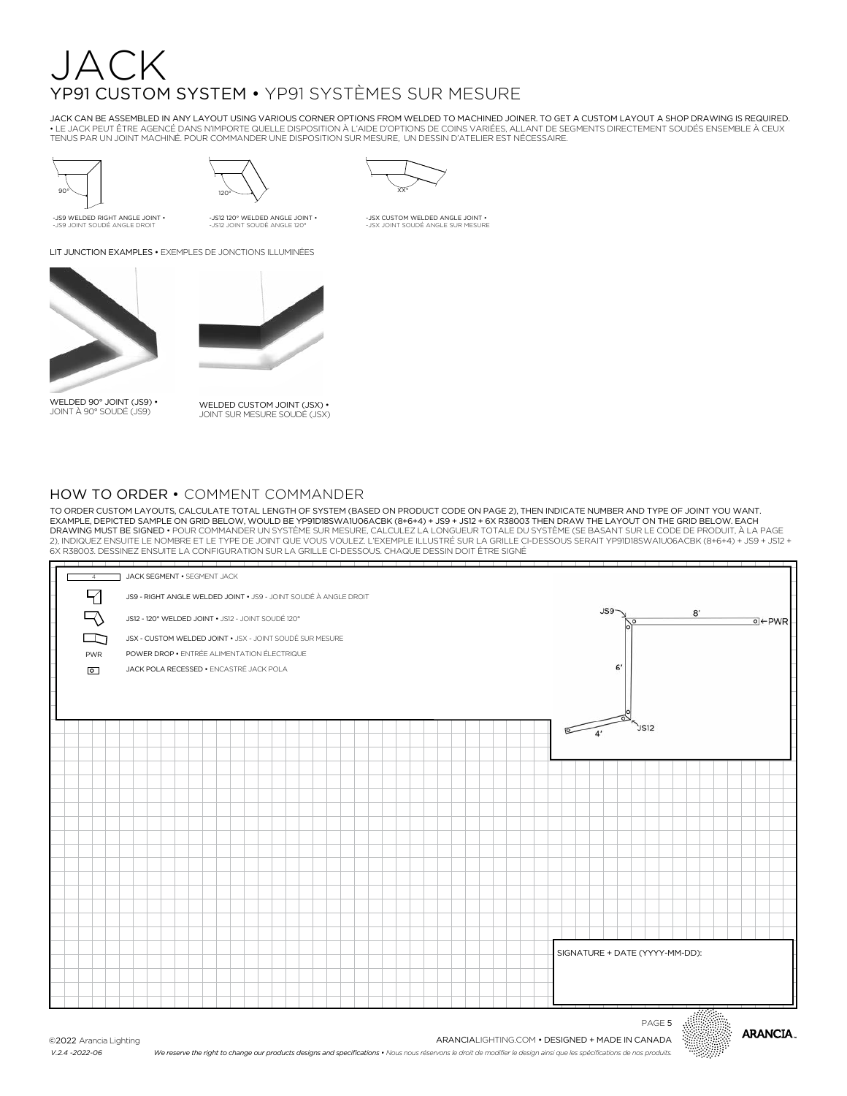## JACK YP91 CUSTOM SYSTEM • YP91 SYSTÈMES SUR MESURE

JACK CAN BE ASSEMBLED IN ANY LAYOUT USING VARIOUS CORNER OPTIONS FROM WELDED TO MACHINED JOINER. TO GET A CUSTOM LAYOUT A SHOP DRAWING IS REQUIRED. • LE JACK PEUT ÊTRE AGENCÉ DANS N'IMPORTE QUELLE DISPOSITION À L'AIDE D'OPTIONS DE COINS VARIÉES, ALLANT DE SEGMENTS DIRECTEMENT SOUDÉS ENSEMBLE À CEUX TENUS PAR UN JOINT MACHINÉ. POUR COMMANDER UNE DISPOSITION SUR MESURE, UN DESSIN D'ATELIER EST NÉCESSAIRE.



-JS9 WELDED RIGHT ANGLE JOINT • -JS9 JOINT SOUDÉ ANGLE DROIT



-JS12 120° WELDED ANGLE JOINT • -JS12 JOINT SOUDÉ ANGLE 120°



-JSX CUSTOM WELDED ANGLE JOINT • -JSX JOINT SOUDÉ ANGLE SUR MESURE

LIT JUNCTION EXAMPLES • EXEMPLES DE JONCTIONS ILLUMINÉES



WELDED 90° JOINT (JS9) • JOINT À 90° SOUDÉ (JS9)



WELDED CUSTOM JOINT (JSX) • JOINT SUR MESURE SOUDÉ (JSX)

### HOW TO ORDER • COMMENT COMMANDER

TO ORDER CUSTOM LAYOUTS, CALCULATE TOTAL LENGTH OF SYSTEM (BASED ON PRODUCT CODE ON PAGE 2), THEN INDICATE NUMBER AND TYPE OF JOINT YOU WANT. EXAMPLE, DEPICTED SAMPLE ON GRID BELOW, WOULD BE YP91D18SWA1U06ACBK (8+6+4) + JS9 + JS12 + 6X R38003 THEN DRAW THE LAYOUT ON THE GRID BELOW. EACH<br>DRAWING MUST BE SIGNED • POUR COMMANDER UN SYSTÈME SUR MESURE, CALCULEZ LA L 6X R38003. DESSINEZ ENSUITE LA CONFIGURATION SUR LA GRILLE CI-DESSOUS. CHAQUE DESSIN DOIT ÊTRE SIGNÉ

| the control of the con-<br>4 | JACK SEGMENT . SEGMENT JACK                                      |                                |
|------------------------------|------------------------------------------------------------------|--------------------------------|
| 7                            | JS9 - RIGHT ANGLE WELDED JOINT . JS9 - JOINT SOUDÉ À ANGLE DROIT |                                |
|                              | JS12 - 120° WELDED JOINT . JS12 - JOINT SOUDÉ 120°               | JSS<br>8'<br>$0$ + PWR<br>р    |
| ⊡                            | JSX - CUSTOM WELDED JOINT . JSX - JOINT SOUDÉ SUR MESURE         |                                |
| PWR                          | POWER DROP . ENTRÉE ALIMENTATION ÉLECTRIQUE                      |                                |
| $\boxed{\circ}$              | JACK POLA RECESSED . ENCASTRÉ JACK POLA                          | 6'                             |
|                              |                                                                  |                                |
|                              |                                                                  |                                |
|                              |                                                                  | JST2<br>4'                     |
|                              |                                                                  |                                |
|                              |                                                                  |                                |
|                              |                                                                  |                                |
|                              |                                                                  |                                |
|                              |                                                                  |                                |
|                              |                                                                  |                                |
|                              |                                                                  |                                |
|                              |                                                                  |                                |
|                              |                                                                  |                                |
|                              |                                                                  |                                |
|                              |                                                                  |                                |
|                              |                                                                  | SIGNATURE + DATE (YYYY-MM-DD): |
|                              |                                                                  |                                |
|                              |                                                                  |                                |
|                              |                                                                  |                                |



PAGE 5

ARANCIALIGHTING.COM • DESIGNED + MADE IN CANADA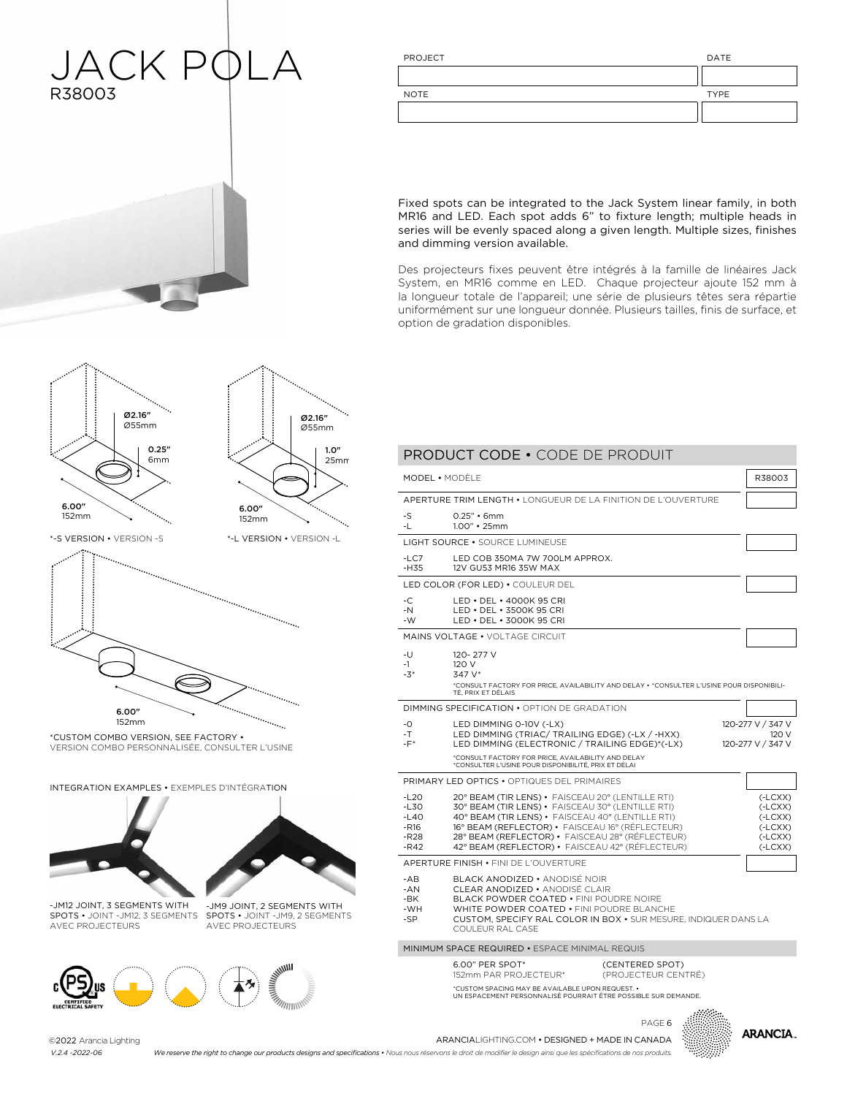## JACK PQLA R38003  $\overline{1}$

| PROJECT     | DATE        |
|-------------|-------------|
|             |             |
| <b>NOTE</b> | <b>TYPE</b> |
|             |             |
|             |             |

Fixed spots can be integrated to the Jack System linear family, in both MR16 and LED. Each spot adds 6" to fixture length; multiple heads in series will be evenly spaced along a given length. Multiple sizes, finishes and dimming version available.

Des projecteurs fixes peuvent être intégrés à la famille de linéaires Jack System, en MR16 comme en LED. Chaque projecteur ajoute 152 mm à la longueur totale de l'appareil; une série de plusieurs têtes sera répartie uniformément sur une longueur donnée. Plusieurs tailles, finis de surface, et option de gradation disponibles.

PRODUCT CODE • CODE DE PRODUIT



1.0"

Ø2.16" Ø55mm



\*CUSTOM COMBO VERSION, SEE FACTORY •<br>UTBALQUI QAURA PERSONI USER COURUL VERSION COMBO PERSONNALISÉE, CONSULTER L'USINE

INTEGRATION EXAMPLES • EXEMPLES D'INTÉGRATION





1.0" 25mm

 $\mathbb{R}$  version  $\mathbb{R}$ 

152mm

-JM12 JOINT, 3 SEGMENTS WITH AVEC PROJECTEURS

SPOTS • JOINT -JM12, 3 SEGMENTS SPOTS • JOINT -JM9, 2 SEGMENTS -JM9 JOINT, 2 SEGMENTS WITH AVEC PROJECTEURS



|                                                          | MODEL · MODÈLE                                                                                                                                                                                                                                                                                                          |                                        | R38003                                                                     |
|----------------------------------------------------------|-------------------------------------------------------------------------------------------------------------------------------------------------------------------------------------------------------------------------------------------------------------------------------------------------------------------------|----------------------------------------|----------------------------------------------------------------------------|
|                                                          | APERTURE TRIM LENGTH • LONGUEUR DE LA FINITION DE L'OUVERTURE                                                                                                                                                                                                                                                           |                                        |                                                                            |
| -S<br>-1.                                                | $0.25"$ • 6mm<br>$1.00"$ • 25mm                                                                                                                                                                                                                                                                                         |                                        |                                                                            |
|                                                          | LIGHT SOURCE . SOURCE LUMINEUSE                                                                                                                                                                                                                                                                                         |                                        |                                                                            |
| $-LC7$<br>$-H35$                                         | LED COB 350MA 7W 700LM APPROX.<br>12V GU53 MR16 35W MAX                                                                                                                                                                                                                                                                 |                                        |                                                                            |
|                                                          | LED COLOR (FOR LED) . COULEUR DEL                                                                                                                                                                                                                                                                                       |                                        |                                                                            |
| $-C$<br>$-N$<br>-W                                       | LED . DEL . 4000K 95 CRI<br>LED • DEL • 3500K 95 CRI<br>LED . DEL . 3000K 95 CRI                                                                                                                                                                                                                                        |                                        |                                                                            |
|                                                          | MAINS VOLTAGE . VOLTAGE CIRCUIT                                                                                                                                                                                                                                                                                         |                                        |                                                                            |
| -U<br>$-1$<br>$-3*$                                      | 120-277 V<br>120 V<br>347 V*<br>*CONSULT FACTORY FOR PRICE, AVAILABILITY AND DELAY . *CONSULTER L'USINE POUR DISPONIBILI-<br>TÉ. PRIX ET DÉLAIS                                                                                                                                                                         |                                        |                                                                            |
|                                                          | DIMMING SPECIFICATION • OPTION DE GRADATION                                                                                                                                                                                                                                                                             |                                        |                                                                            |
| $-0$<br>$-T$<br>$-F^*$                                   | LED DIMMING 0-10V (-LX)<br>LED DIMMING (TRIAC/ TRAILING EDGE) (-LX / -HXX)<br>LED DIMMING (ELECTRONIC / TRAILING EDGE)*(-LX)                                                                                                                                                                                            |                                        | 120-277 V / 347 V<br>120 V<br>120-277 V / 347 V                            |
|                                                          | *CONSULT FACTORY FOR PRICE, AVAILABILITY AND DELAY<br>*CONSULTER L'USINE POUR DISPONIBILITÉ, PRIX ET DÉLAI                                                                                                                                                                                                              |                                        |                                                                            |
|                                                          | <b>PRIMARY LED OPTICS • OPTIQUES DEL PRIMAIRES</b>                                                                                                                                                                                                                                                                      |                                        |                                                                            |
| $-120$<br>$-L30$<br>$-L40$<br>$-R16$<br>$-R28$<br>$-R42$ | 20° BEAM (TIR LENS) · FAISCEAU 20° (LENTILLE RTI)<br>30° BEAM (TIR LENS) . FAISCEAU 30° (LENTILLE RTI)<br>40° BEAM (TIR LENS) · FAISCEAU 40° (LENTILLE RTI)<br>16° BEAM (REFLECTOR) • FAISCEAU 16° (RÉFLECTEUR)<br>28° BEAM (REFLECTOR) · FAISCEAU 28° (RÉFLECTEUR)<br>42° BEAM (REFLECTOR) · FAISCEAU 42° (RÉFLECTEUR) |                                        | $(-LCXX)$<br>$(-LCXX)$<br>$(-LCXX)$<br>$(-LCXX)$<br>$(-LCXX)$<br>$(-LCXX)$ |
|                                                          | APERTURE FINISH . FINI DE L'OUVERTURE                                                                                                                                                                                                                                                                                   |                                        |                                                                            |
| $-AB$<br>$-AN$<br>-BK<br>-WH<br>-SP                      | BLACK ANODIZED • ANODISÉ NOIR<br><b>CLEAR ANODIZED • ANODISÉ CLAIR</b><br>BLACK POWDER COATED • FINLPOUDRE NOIRE<br>WHITE POWDER COATED . FINI POUDRE BLANCHE<br>CUSTOM, SPECIFY RAL COLOR IN BOX . SUR MESURE, INDIQUER DANS LA<br>COULEUR RAL CASE                                                                    |                                        |                                                                            |
|                                                          | MINIMUM SPACE REQUIRED • ESPACE MINIMAL REQUIS                                                                                                                                                                                                                                                                          |                                        |                                                                            |
|                                                          | 6.00" PER SPOT*<br>152mm PAR PROJECTEUR*                                                                                                                                                                                                                                                                                | (CENTERED SPOT)<br>(PROJECTEUR CENTRÉ) |                                                                            |
|                                                          | *CUSTOM SPACING MAY BE AVAILABLE UPON REQUEST. .<br>UN ESPACEMENT PERSONNALISÉ POURRAIT ÊTRE POSSIBLE SUR DEMANDE.                                                                                                                                                                                                      |                                        |                                                                            |



©2022 Arancia Lighting *V.2.4 -2022-06 V.2.4 -2022-06*

PAGE 6<br>ARANCIALIGHTING.COM • DESIGNED + MADE IN CANADA<br>ARANCIALIGHTING.COM • DESIGNED + MADE IN CANADA

We reserve the right to change our products designs and specifications • Nous nous réservons le droit de modifier le design ainsi que les spécifications de nos produits.